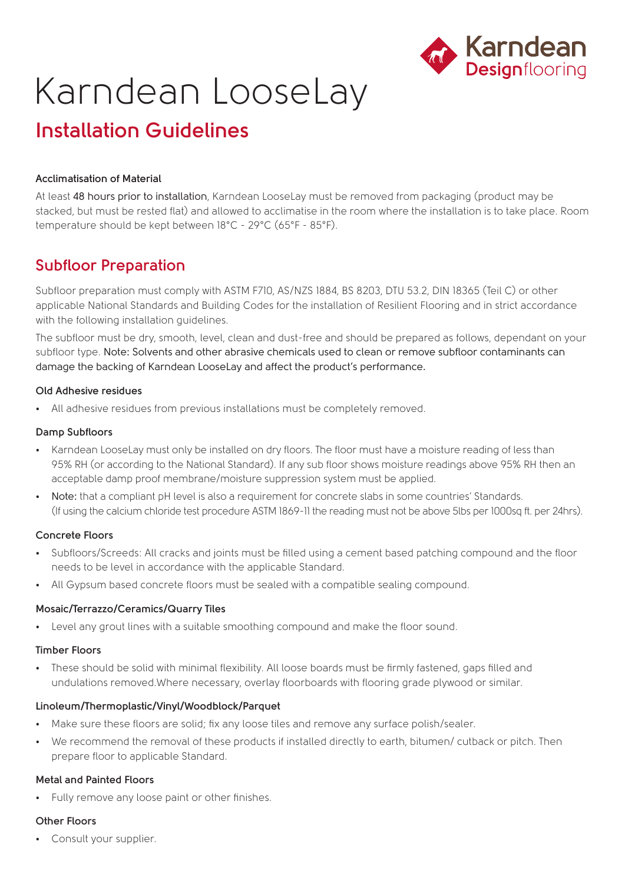

# Karndean LooseLay

## **Installation Guidelines**

#### **Acclimatisation of Material**

At least 48 hours prior to installation, Karndean LooseLay must be removed from packaging (product may be stacked, but must be rested flat) and allowed to acclimatise in the room where the installation is to take place. Room temperature should be kept between 18°C - 29°C (65°F - 85°F).

### **Subfloor Preparation**

Subfloor preparation must comply with ASTM F710, AS/NZS 1884, BS 8203, DTU 53.2, DIN 18365 (Teil C) or other applicable National Standards and Building Codes for the installation of Resilient Flooring and in strict accordance with the following installation guidelines.

The subfloor must be dry, smooth, level, clean and dust-free and should be prepared as follows, dependant on your subfloor type. Note: Solvents and other abrasive chemicals used to clean or remove subfloor contaminants can damage the backing of Karndean LooseLay and affect the product's performance.

#### **Old Adhesive residues**

• All adhesive residues from previous installations must be completely removed.

#### **Damp Subfloors**

- Karndean LooseLay must only be installed on dry floors. The floor must have a moisture reading of less than 95% RH (or according to the National Standard). If any sub floor shows moisture readings above 95% RH then an acceptable damp proof membrane/moisture suppression system must be applied.
- Note: that a compliant pH level is also a requirement for concrete slabs in some countries' Standards. (If using the calcium chloride test procedure ASTM 1869-11 the reading must not be above 5lbs per 1000sq ft. per 24hrs).

#### **Concrete Floors**

- Subfloors/Screeds: All cracks and joints must be filled using a cement based patching compound and the floor needs to be level in accordance with the applicable Standard.
- All Gypsum based concrete floors must be sealed with a compatible sealing compound.

#### **Mosaic/Terrazzo/Ceramics/Quarry Tiles**

• Level any grout lines with a suitable smoothing compound and make the floor sound.

#### **Timber Floors**

• These should be solid with minimal flexibility. All loose boards must be firmly fastened, gaps filled and undulations removed.Where necessary, overlay floorboards with flooring grade plywood or similar.

#### **Linoleum/Thermoplastic/Vinyl/Woodblock/Parquet**

- Make sure these floors are solid; fix any loose tiles and remove any surface polish/sealer.
- We recommend the removal of these products if installed directly to earth, bitumen/ cutback or pitch. Then prepare floor to applicable Standard.

#### **Metal and Painted Floors**

• Fully remove any loose paint or other finishes.

#### **Other Floors**

• Consult your supplier.